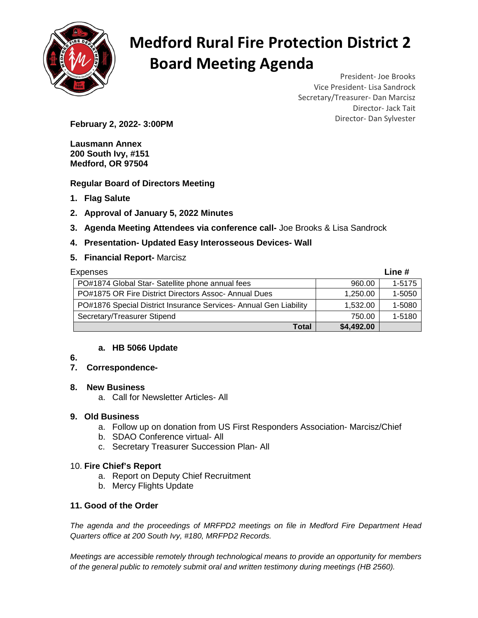

# **Medford Rural Fire Protection District 2 Board Meeting Agenda**

President- Joe Brooks Vice President- Lisa Sandrock Secretary/Treasurer- Dan Marcisz Director- Jack Tait

Director- Dan Sylvester **February 2, 2022- 3:00PM** 

**Lausmann Annex 200 South Ivy, #151 Medford, OR 97504** 

**Regular Board of Directors Meeting** 

- **1. Flag Salute**
- **2. Approval of January 5, 2022 Minutes**
- **3. Agenda Meeting Attendees via conference call-** Joe Brooks & Lisa Sandrock

## **4. Presentation- Updated Easy Interosseous Devices- Wall**

#### **5. Financial Report-** Marcisz

| <b>Expenses</b>                                                   |            | Line $#$ |
|-------------------------------------------------------------------|------------|----------|
| PO#1874 Global Star- Satellite phone annual fees                  | 960.00     | 1-5175   |
| PO#1875 OR Fire District Directors Assoc-Annual Dues              | 1,250.00   | 1-5050   |
| PO#1876 Special District Insurance Services- Annual Gen Liability | 1,532.00   | 1-5080   |
| Secretary/Treasurer Stipend                                       | 750.00     | 1-5180   |
| Total                                                             | \$4,492.00 |          |

#### **a. HB 5066 Update**

**6.** 

## **7. Correspondence-**

#### **8. New Business**

a. Call for Newsletter Articles- All

#### **9. Old Business**

- a. Follow up on donation from US First Responders Association- Marcisz/Chief
- b. SDAO Conference virtual- All
- c. Secretary Treasurer Succession Plan- All

#### 10. **Fire Chief's Report**

- a. Report on Deputy Chief Recruitment
- b. Mercy Flights Update

#### **11. Good of the Order**

The agenda and the proceedings of MRFPD2 meetings on file in Medford Fire Department Head Quarters office at 200 South Ivy, #180, MRFPD2 Records.

Meetings are accessible remotely through technological means to provide an opportunity for members of the general public to remotely submit oral and written testimony during meetings (HB 2560).